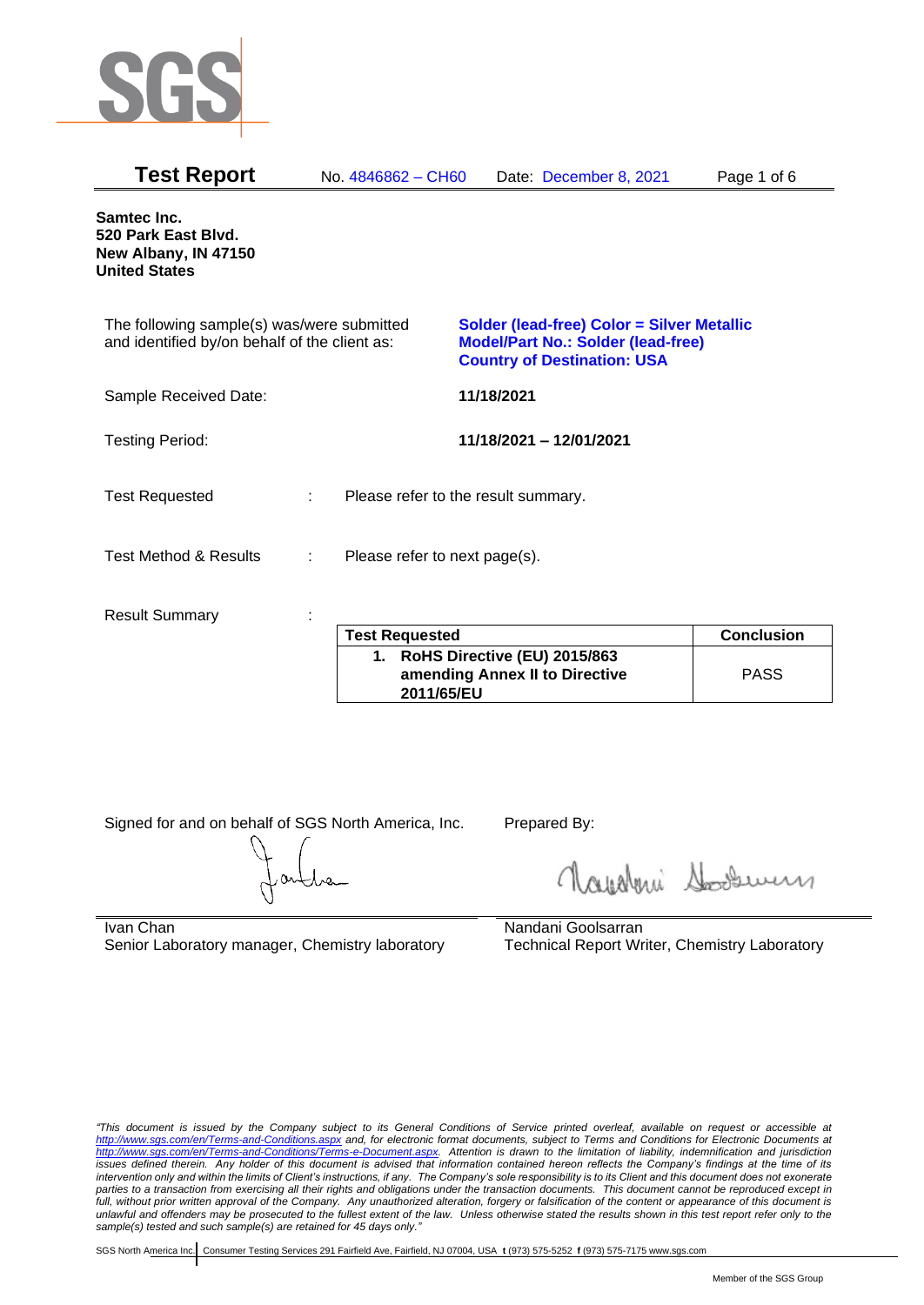

| <b>Test Report</b>                                                                          |   | No. 4846862 - CH60                  |            | Date: December 8, 2021                                                                                                        | Page 1 of 6       |
|---------------------------------------------------------------------------------------------|---|-------------------------------------|------------|-------------------------------------------------------------------------------------------------------------------------------|-------------------|
| Samtec Inc.<br>520 Park East Blvd.<br>New Albany, IN 47150<br><b>United States</b>          |   |                                     |            |                                                                                                                               |                   |
| The following sample(s) was/were submitted<br>and identified by/on behalf of the client as: |   |                                     |            | Solder (lead-free) Color = Silver Metallic<br><b>Model/Part No.: Solder (lead-free)</b><br><b>Country of Destination: USA</b> |                   |
| Sample Received Date:                                                                       |   |                                     | 11/18/2021 |                                                                                                                               |                   |
| <b>Testing Period:</b>                                                                      |   |                                     |            | 11/18/2021 - 12/01/2021                                                                                                       |                   |
| <b>Test Requested</b>                                                                       | ÷ | Please refer to the result summary. |            |                                                                                                                               |                   |
| <b>Test Method &amp; Results</b>                                                            | ÷ | Please refer to next page(s).       |            |                                                                                                                               |                   |
| <b>Result Summary</b>                                                                       |   | <b>Test Requested</b>               |            |                                                                                                                               | <b>Conclusion</b> |
|                                                                                             |   |                                     |            |                                                                                                                               |                   |

| <b>Test Requested</b>                                                        | <b>Conclusion</b> |
|------------------------------------------------------------------------------|-------------------|
| RoHS Directive (EU) 2015/863<br>amending Annex II to Directive<br>2011/65/EU | <b>PASS</b>       |

Signed for and on behalf of SGS North America, Inc. Prepared By:

Navaleni Soomun

Ivan Chan Senior Laboratory manager, Chemistry laboratory Nandani Goolsarran Technical Report Writer, Chemistry Laboratory

*"This document is issued by the Company subject to its General Conditions of Service printed overleaf, available on request or accessible at <http://www.sgs.com/en/Terms-and-Conditions.aspx> and, for electronic format documents, subject to Terms and Conditions for Electronic Documents at [http://www.sgs.com/en/Terms-and-Conditions/Terms-e-Document.aspx.](http://www.sgs.com/en/Terms-and-Conditions/Terms-e-Document.aspx) Attention is drawn to the limitation of liability, indemnification and jurisdiction issues defined therein. Any holder of this document is advised that information contained hereon reflects the Company's findings at the time of its intervention only and within the limits of Client's instructions, if any. The Company's sole responsibility is to its Client and this document does not exonerate parties to a transaction from exercising all their rights and obligations under the transaction documents. This document cannot be reproduced except in full, without prior written approval of the Company. Any unauthorized alteration, forgery or falsification of the content or appearance of this document is unlawful and offenders may be prosecuted to the fullest extent of the law. Unless otherwise stated the results shown in this test report refer only to the sample(s) tested and such sample(s) are retained for 45 days only."*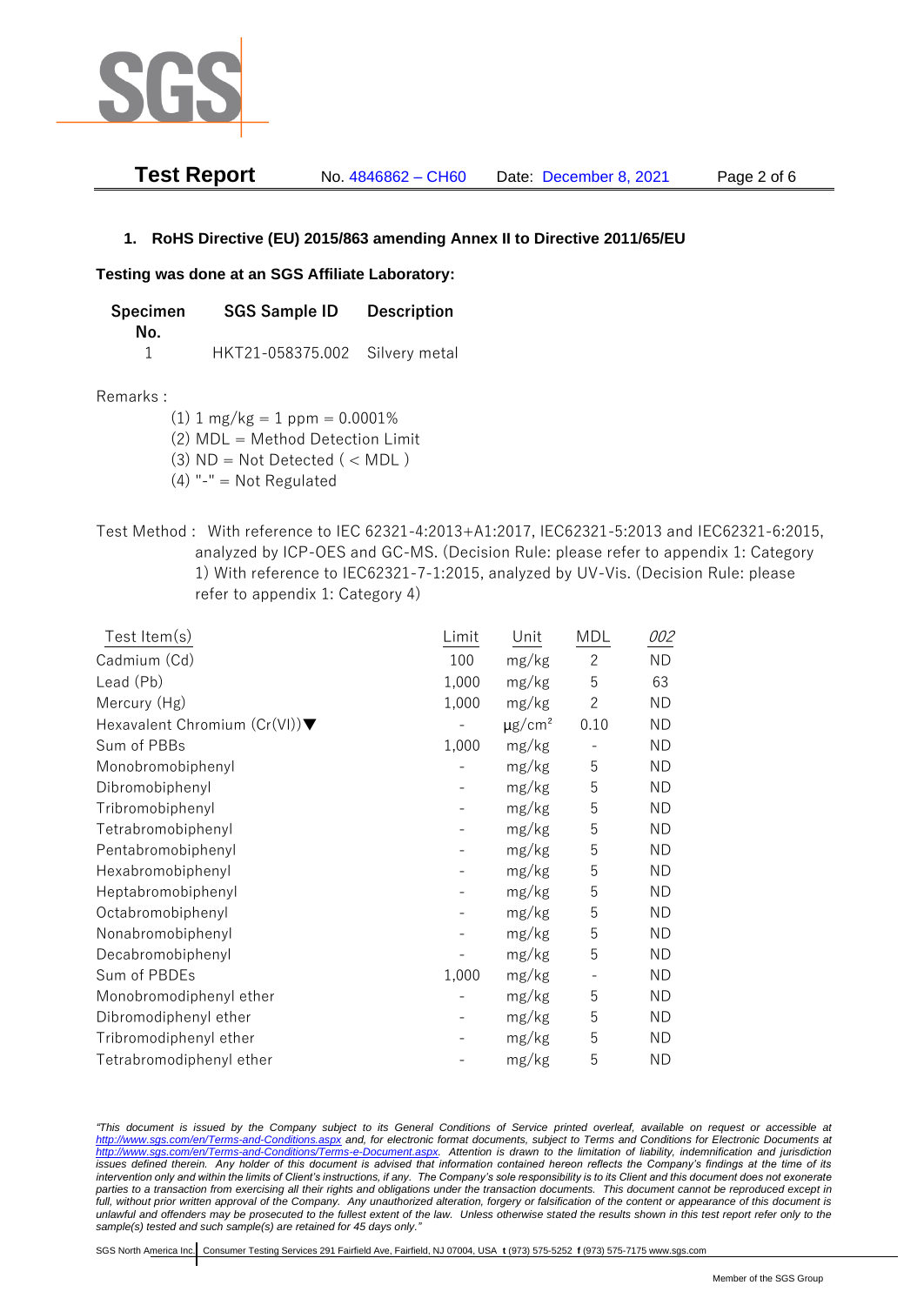

| <b>Test Report</b> | No. 4846862 - CH60 | Date: December 8, 2021 | Page 2 of 6 |
|--------------------|--------------------|------------------------|-------------|
|--------------------|--------------------|------------------------|-------------|

## **1. RoHS Directive (EU) 2015/863 amending Annex II to Directive 2011/65/EU**

## **Testing was done at an SGS Affiliate Laboratory:**

| Specimen | <b>SGS Sample ID</b>           | <b>Description</b> |  |
|----------|--------------------------------|--------------------|--|
| No.      |                                |                    |  |
|          | HKT21-058375.002 Silvery metal |                    |  |

## Remarks :

(1)  $1 \text{ mg/kg} = 1 \text{ ppm} = 0.0001\%$ 

(2) MDL = Method Detection Limit

- $(3)$  ND = Not Detected  $($  < MDL)
- (4) "-" = Not Regulated
- Test Method : With reference to IEC 62321-4:2013+A1:2017, IEC62321-5:2013 and IEC62321-6:2015, analyzed by ICP-OES and GC-MS. (Decision Rule: please refer to appendix 1: Category 1) With reference to IEC62321-7-1:2015, analyzed by UV-Vis. (Decision Rule: please refer to appendix 1: Category 4)

| Test Item(s)                  | Limit | Unit                    | <b>MDL</b>               | 002       |
|-------------------------------|-------|-------------------------|--------------------------|-----------|
| Cadmium (Cd)                  | 100   | mg/kg                   | $\overline{2}$           | <b>ND</b> |
| Lead (Pb)                     | 1,000 | mg/kg                   | 5                        | 63        |
| Mercury (Hg)                  | 1,000 | mg/kg                   | $\overline{2}$           | <b>ND</b> |
| Hexavalent Chromium (Cr(VI))▼ |       | $\mu$ g/cm <sup>2</sup> | 0.10                     | <b>ND</b> |
| Sum of PBBs                   | 1,000 | mg/kg                   |                          | <b>ND</b> |
| Monobromobiphenyl             |       | mg/kg                   | 5                        | <b>ND</b> |
| Dibromobiphenyl               |       | mg/kg                   | 5                        | <b>ND</b> |
| Tribromobiphenyl              |       | mg/kg                   | 5                        | <b>ND</b> |
| Tetrabromobiphenyl            |       | mg/kg                   | 5                        | <b>ND</b> |
| Pentabromobiphenyl            |       | mg/kg                   | 5                        | <b>ND</b> |
| Hexabromobiphenyl             |       | mg/kg                   | 5                        | ND.       |
| Heptabromobiphenyl            |       | mg/kg                   | 5                        | <b>ND</b> |
| Octabromobiphenyl             |       | mg/kg                   | 5                        | <b>ND</b> |
| Nonabromobiphenyl             |       | mg/kg                   | 5                        | <b>ND</b> |
| Decabromobiphenyl             |       | mg/kg                   | 5                        | <b>ND</b> |
| Sum of PBDEs                  | 1,000 | mg/kg                   | $\overline{\phantom{a}}$ | <b>ND</b> |
| Monobromodiphenyl ether       |       | mg/kg                   | 5                        | <b>ND</b> |
| Dibromodiphenyl ether         |       | mg/kg                   | 5                        | <b>ND</b> |
| Tribromodiphenyl ether        |       | mg/kg                   | 5                        | ND        |
| Tetrabromodiphenyl ether      |       | mg/kg                   | 5                        | <b>ND</b> |

*"This document is issued by the Company subject to its General Conditions of Service printed overleaf, available on request or accessible at <http://www.sgs.com/en/Terms-and-Conditions.aspx> and, for electronic format documents, subject to Terms and Conditions for Electronic Documents at [http://www.sgs.com/en/Terms-and-Conditions/Terms-e-Document.aspx.](http://www.sgs.com/en/Terms-and-Conditions/Terms-e-Document.aspx) Attention is drawn to the limitation of liability, indemnification and jurisdiction issues defined therein. Any holder of this document is advised that information contained hereon reflects the Company's findings at the time of its intervention only and within the limits of Client's instructions, if any. The Company's sole responsibility is to its Client and this document does not exonerate parties to a transaction from exercising all their rights and obligations under the transaction documents. This document cannot be reproduced except in full, without prior written approval of the Company. Any unauthorized alteration, forgery or falsification of the content or appearance of this document is unlawful and offenders may be prosecuted to the fullest extent of the law. Unless otherwise stated the results shown in this test report refer only to the sample(s) tested and such sample(s) are retained for 45 days only."*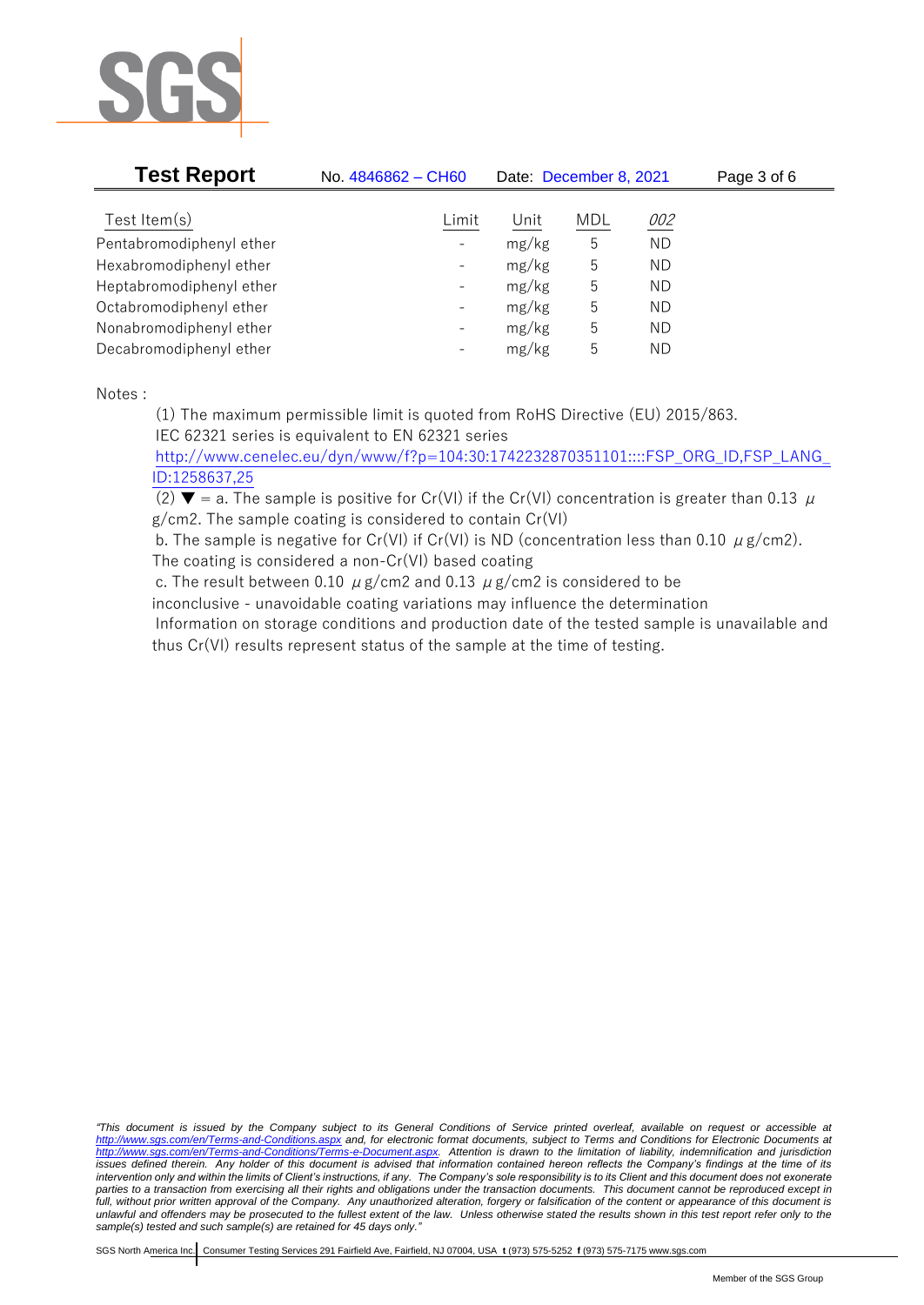

| No. 4846862 - CH60       | Date: December 8, 2021 |      |            | Page 3 of 6 |
|--------------------------|------------------------|------|------------|-------------|
|                          |                        |      |            |             |
| $\overline{\phantom{a}}$ | mg/kg                  | 5    | ND.        |             |
| $\overline{\phantom{a}}$ | mg/kg                  | 5    | ND.        |             |
| $\overline{\phantom{a}}$ | mg/kg                  | 5    | ND.        |             |
| $\overline{\phantom{a}}$ | mg/kg                  | 5    | ND.        |             |
| $\overline{\phantom{a}}$ | mg/kg                  | 5    | ND.        |             |
| $\overline{\phantom{a}}$ | mg/kg                  | 5    | ND.        |             |
|                          | Limit                  | Unit | <b>MDL</b> | 002         |

Notes :

(1) The maximum permissible limit is quoted from RoHS Directive (EU) 2015/863. IEC 62321 series is equivalent to EN 62321 series

[http://www.cenelec.eu/dyn/www/f?p=104:30:1742232870351101::::FSP\\_ORG\\_ID,FSP\\_LANG\\_](http://www.cenelec.eu/dyn/www/f?p=104:30:1742232870351101::::FSP_ORG_ID,FSP_LANG_ID:1258637,25) [ID:1258637,25](http://www.cenelec.eu/dyn/www/f?p=104:30:1742232870351101::::FSP_ORG_ID,FSP_LANG_ID:1258637,25)

(2)  $\blacktriangledown$  = a. The sample is positive for Cr(VI) if the Cr(VI) concentration is greater than 0.13  $\mu$ g/cm2. The sample coating is considered to contain Cr(VI)

b. The sample is negative for Cr(VI) if Cr(VI) is ND (concentration less than 0.10  $\mu$  g/cm2).

The coating is considered a non-Cr(VI) based coating

c. The result between 0.10  $\mu$  g/cm2 and 0.13  $\mu$  g/cm2 is considered to be

inconclusive - unavoidable coating variations may influence the determination

Information on storage conditions and production date of the tested sample is unavailable and thus Cr(VI) results represent status of the sample at the time of testing.

*"This document is issued by the Company subject to its General Conditions of Service printed overleaf, available on request or accessible at <http://www.sgs.com/en/Terms-and-Conditions.aspx> and, for electronic format documents, subject to Terms and Conditions for Electronic Documents at [http://www.sgs.com/en/Terms-and-Conditions/Terms-e-Document.aspx.](http://www.sgs.com/en/Terms-and-Conditions/Terms-e-Document.aspx) Attention is drawn to the limitation of liability, indemnification and jurisdiction issues defined therein. Any holder of this document is advised that information contained hereon reflects the Company's findings at the time of its intervention only and within the limits of Client's instructions, if any. The Company's sole responsibility is to its Client and this document does not exonerate parties to a transaction from exercising all their rights and obligations under the transaction documents. This document cannot be reproduced except in full, without prior written approval of the Company. Any unauthorized alteration, forgery or falsification of the content or appearance of this document is unlawful and offenders may be prosecuted to the fullest extent of the law. Unless otherwise stated the results shown in this test report refer only to the sample(s) tested and such sample(s) are retained for 45 days only."*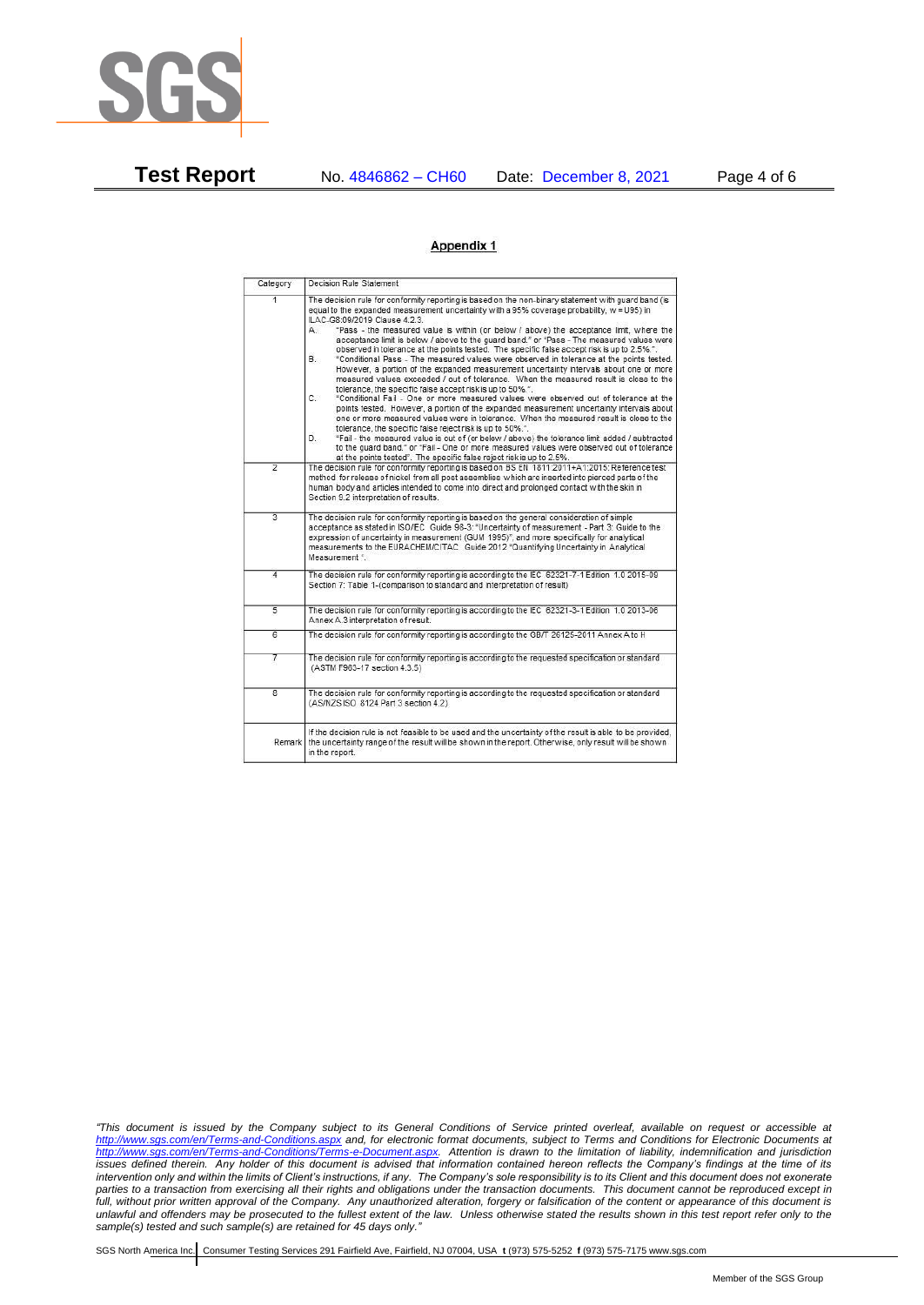

**Test Report** No. 4846862 – CH60 Date: December 8, 2021 Page 4 of 6

## Appendix 1

| Category                | Decision Rule Statement                                                                                                                                                                                                                                                                                                                                                                                                                                                                                                                                                                                                                                                                                                                                                                                                                                                                                                                                                                                                                                                                                                                                                                                                                                                                                                                                                                                                                                                                                            |
|-------------------------|--------------------------------------------------------------------------------------------------------------------------------------------------------------------------------------------------------------------------------------------------------------------------------------------------------------------------------------------------------------------------------------------------------------------------------------------------------------------------------------------------------------------------------------------------------------------------------------------------------------------------------------------------------------------------------------------------------------------------------------------------------------------------------------------------------------------------------------------------------------------------------------------------------------------------------------------------------------------------------------------------------------------------------------------------------------------------------------------------------------------------------------------------------------------------------------------------------------------------------------------------------------------------------------------------------------------------------------------------------------------------------------------------------------------------------------------------------------------------------------------------------------------|
| $\overline{1}$          | The decision rule for conformity reporting is based on the non-binary statement with quard band (is<br>equal to the expanded measurement uncertainty with a 95% coverage probability, w = U95) in<br>ILAC-G8:09/2019 Clause 4.2.3.<br>"Pass - the measured value is within (or below / above) the acceptance limit, where the<br>А.<br>acceptance limit is below / above to the guard band." or "Pass - The measured values were<br>observed in tolerance at the points tested. The specific false accept risk is up to 2.5%.".<br>"Conditional Pass - The measured values were observed in tolerance at the points tested.<br>В.<br>However, a portion of the expanded measurement uncertainty intervals about one or more<br>measured values exceeded / out of tolerance. When the measured result is close to the<br>tolerance, the specific false accept risk is up to 50%.".<br>C.<br>"Conditional Fail - One or more measured values were observed out of tolerance at the<br>points tested. However, a portion of the expanded measurement uncertainty intervals about<br>one or more measured values were in tolerance. When the measured result is close to the<br>tolerance, the specific false reject risk is up to 50%.".<br>"Fail - the measured value is out of (or below / above) the tolerance limit added / subtracted<br>D.<br>to the quard band." or "Fail - One or more measured values were observed out of tolerance<br>at the points tested". The specific false reject risk is up to 2.5%. |
| $\overline{2}$          | The decision rule for conformity reporting is based on BS EN 1811:2011+A1:2015: Reference test<br>method for release of nickel from all post assemblies which are inserted into pierced parts of the<br>human body and articles intended to come into direct and prolonged contact with the skin in<br>Section 9.2 interpretation of results.                                                                                                                                                                                                                                                                                                                                                                                                                                                                                                                                                                                                                                                                                                                                                                                                                                                                                                                                                                                                                                                                                                                                                                      |
| $\overline{3}$          | The decision rule for conformity reporting is based on the general consideration of simple<br>acceptance as stated in ISO/IEC Guide 98-3: "Uncertainty of measurement - Part 3: Guide to the<br>expression of uncertainty in measurement (GUM 1995)", and more specifically for analytical<br>measurements to the EURACHEM/CITAC Guide 2012 "Quantifying Uncertainty in Analytical<br>Measurement *                                                                                                                                                                                                                                                                                                                                                                                                                                                                                                                                                                                                                                                                                                                                                                                                                                                                                                                                                                                                                                                                                                                |
| 4                       | The decision rule for conformity reporting is according to the IEC 62321-7-1 Edition 1.0 2015-09<br>Section 7: Table 1-(comparison to standard and interpretation of result)                                                                                                                                                                                                                                                                                                                                                                                                                                                                                                                                                                                                                                                                                                                                                                                                                                                                                                                                                                                                                                                                                                                                                                                                                                                                                                                                       |
| $\overline{5}$          | The decision rule for conformity reporting is according to the IEC 62321-3-1 Edition 1.0 2013-06<br>Annex A.3 interpretation of result.                                                                                                                                                                                                                                                                                                                                                                                                                                                                                                                                                                                                                                                                                                                                                                                                                                                                                                                                                                                                                                                                                                                                                                                                                                                                                                                                                                            |
| $\overline{6}$          | The decision rule for conformity reporting is according to the GB/T 26125-2011 Annex A to H                                                                                                                                                                                                                                                                                                                                                                                                                                                                                                                                                                                                                                                                                                                                                                                                                                                                                                                                                                                                                                                                                                                                                                                                                                                                                                                                                                                                                        |
| 7                       | The decision rule for conformity reporting is according to the requested specification or standard<br>(ASTM F963-17 section 4.3.5)                                                                                                                                                                                                                                                                                                                                                                                                                                                                                                                                                                                                                                                                                                                                                                                                                                                                                                                                                                                                                                                                                                                                                                                                                                                                                                                                                                                 |
| $\overline{\mathbf{8}}$ | The decision rule for conformity reporting is according to the requested specification or standard<br>(AS/NZS ISO 8124 Part 3 section 4.2)                                                                                                                                                                                                                                                                                                                                                                                                                                                                                                                                                                                                                                                                                                                                                                                                                                                                                                                                                                                                                                                                                                                                                                                                                                                                                                                                                                         |
| Remark                  | If the decision rule is not feasible to be used and the uncertainty of the result is able to be provided.<br>the uncertainty range of the result will be shown in the report. Otherwise, only result will be shown<br>in the report.                                                                                                                                                                                                                                                                                                                                                                                                                                                                                                                                                                                                                                                                                                                                                                                                                                                                                                                                                                                                                                                                                                                                                                                                                                                                               |

*"This document is issued by the Company subject to its General Conditions of Service printed overleaf, available on request or accessible at <http://www.sgs.com/en/Terms-and-Conditions.aspx> and, for electronic format documents, subject to Terms and Conditions for Electronic Documents at [http://www.sgs.com/en/Terms-and-Conditions/Terms-e-Document.aspx.](http://www.sgs.com/en/Terms-and-Conditions/Terms-e-Document.aspx) Attention is drawn to the limitation of liability, indemnification and jurisdiction issues defined therein. Any holder of this document is advised that information contained hereon reflects the Company's findings at the time of its intervention only and within the limits of Client's instructions, if any. The Company's sole responsibility is to its Client and this document does not exonerate parties to a transaction from exercising all their rights and obligations under the transaction documents. This document cannot be reproduced except in full, without prior written approval of the Company. Any unauthorized alteration, forgery or falsification of the content or appearance of this document is unlawful and offenders may be prosecuted to the fullest extent of the law. Unless otherwise stated the results shown in this test report refer only to the sample(s) tested and such sample(s) are retained for 45 days only."*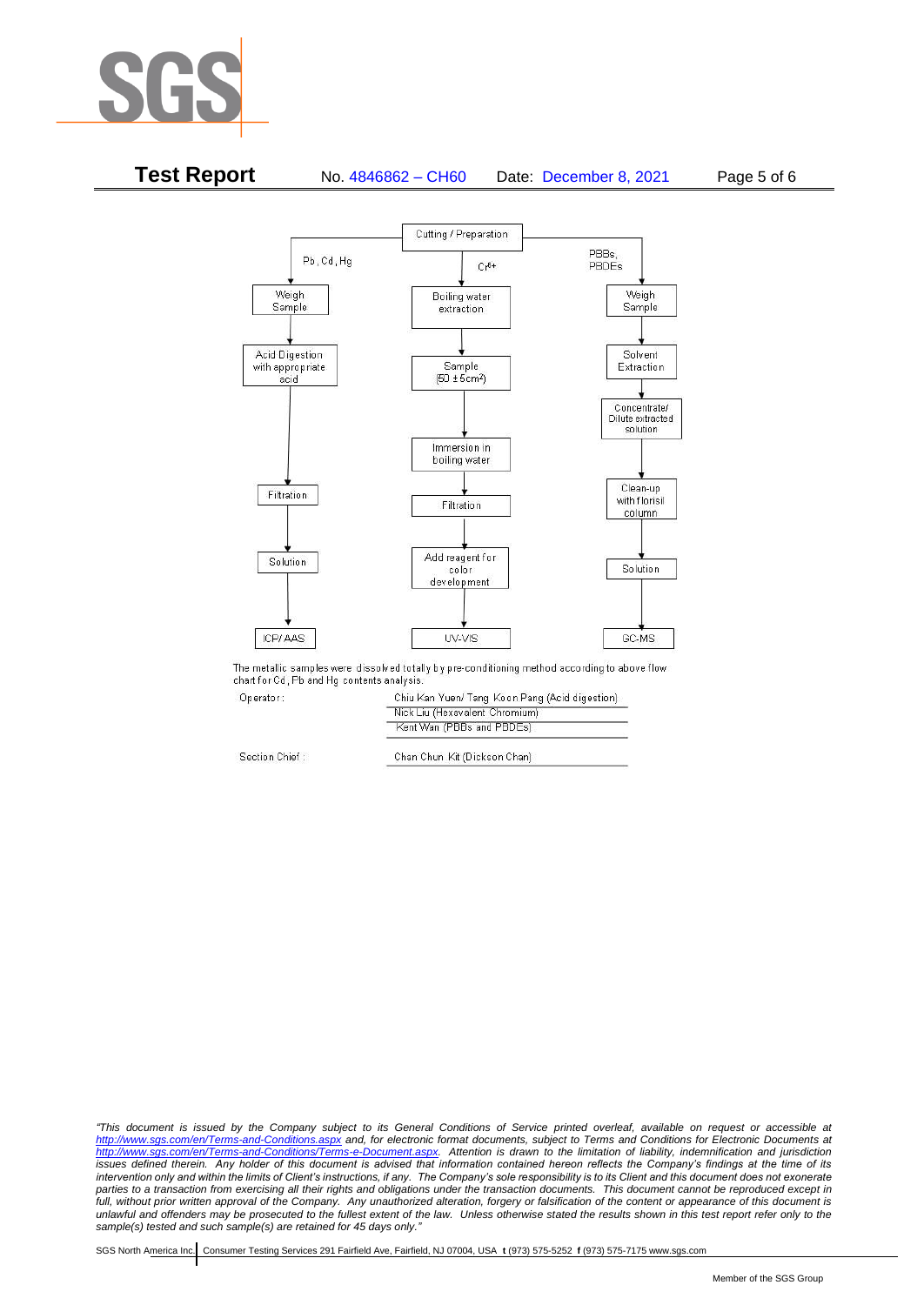



The metallic samples were dissolved totally by pre-conditioning method according to above flow chart for Cd, Pb and Hg contents analysis.

Operator:

Section Chi

| Chiu Kan Yuen/ Tang Koon Pang (Acid digestion) |
|------------------------------------------------|
| Nick Liu (Hexavalent Chromium)                 |
| Kent Wan (PBBs and PBDEs)                      |
| Chan Chun Kit (Dickson Chan)                   |
|                                                |

*"This document is issued by the Company subject to its General Conditions of Service printed overleaf, available on request or accessible at <http://www.sgs.com/en/Terms-and-Conditions.aspx> and, for electronic format documents, subject to Terms and Conditions for Electronic Documents at [http://www.sgs.com/en/Terms-and-Conditions/Terms-e-Document.aspx.](http://www.sgs.com/en/Terms-and-Conditions/Terms-e-Document.aspx) Attention is drawn to the limitation of liability, indemnification and jurisdiction issues defined therein. Any holder of this document is advised that information contained hereon reflects the Company's findings at the time of its intervention only and within the limits of Client's instructions, if any. The Company's sole responsibility is to its Client and this document does not exonerate parties to a transaction from exercising all their rights and obligations under the transaction documents. This document cannot be reproduced except in full, without prior written approval of the Company. Any unauthorized alteration, forgery or falsification of the content or appearance of this document is unlawful and offenders may be prosecuted to the fullest extent of the law. Unless otherwise stated the results shown in this test report refer only to the sample(s) tested and such sample(s) are retained for 45 days only."*